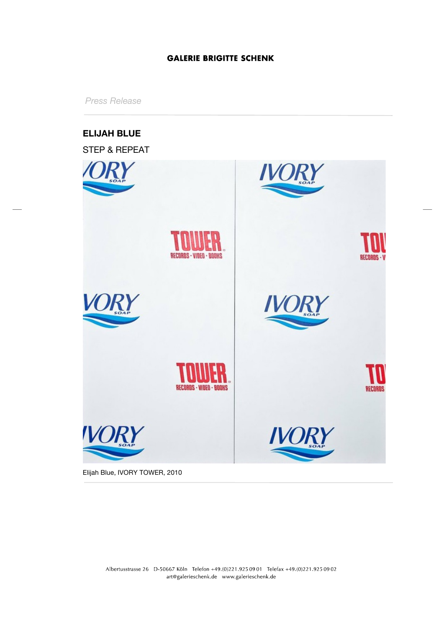*Press Release*



Elijah Blue, IVORY TOWER, 2010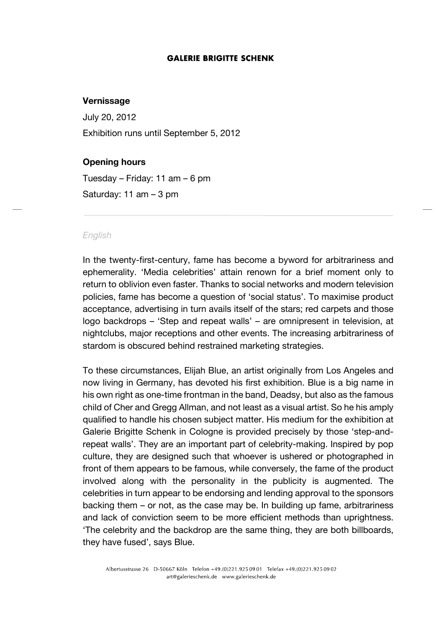### **Vernissage**

July 20, 2012 Exhibition runs until September 5, 2012

# **Opening hours**

Tuesday – Friday: 11 am – 6 pm Saturday: 11 am – 3 pm

#### *English*

In the twenty-first-century, fame has become a byword for arbitrariness and ephemerality. 'Media celebrities' attain renown for a brief moment only to return to oblivion even faster. Thanks to social networks and modern television policies, fame has become a question of 'social status'. To maximise product acceptance, advertising in turn avails itself of the stars; red carpets and those logo backdrops – 'Step and repeat walls' – are omnipresent in television, at nightclubs, major receptions and other events. The increasing arbitrariness of stardom is obscured behind restrained marketing strategies.

To these circumstances, Elijah Blue, an artist originally from Los Angeles and now living in Germany, has devoted his first exhibition. Blue is a big name in his own right as one-time frontman in the band, Deadsy, but also as the famous child of Cher and Gregg Allman, and not least as a visual artist. So he his amply qualified to handle his chosen subject matter. His medium for the exhibition at Galerie Brigitte Schenk in Cologne is provided precisely by those 'step-andrepeat walls'. They are an important part of celebrity-making. Inspired by pop culture, they are designed such that whoever is ushered or photographed in front of them appears to be famous, while conversely, the fame of the product involved along with the personality in the publicity is augmented. The celebrities in turn appear to be endorsing and lending approval to the sponsors backing them – or not, as the case may be. In building up fame, arbitrariness and lack of conviction seem to be more efficient methods than uprightness. 'The celebrity and the backdrop are the same thing, they are both billboards, they have fused', says Blue.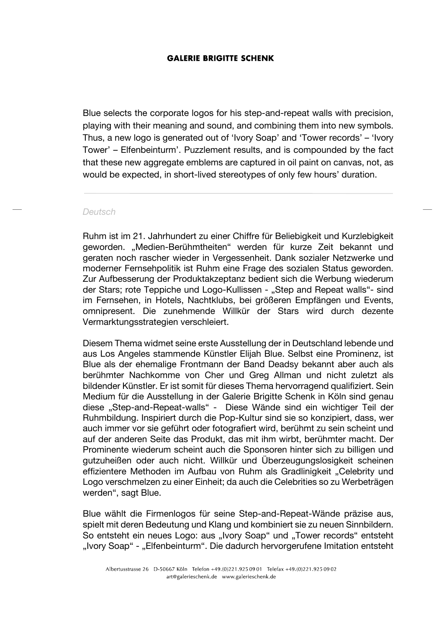Blue selects the corporate logos for his step-and-repeat walls with precision, playing with their meaning and sound, and combining them into new symbols. Thus, a new logo is generated out of 'Ivory Soap' and 'Tower records' – 'Ivory Tower' – Elfenbeinturm'. Puzzlement results, and is compounded by the fact that these new aggregate emblems are captured in oil paint on canvas, not, as would be expected, in short-lived stereotypes of only few hours' duration.

#### *Deutsch*

Ruhm ist im 21. Jahrhundert zu einer Chiffre für Beliebigkeit und Kurzlebigkeit geworden. "Medien-Berühmtheiten" werden für kurze Zeit bekannt und geraten noch rascher wieder in Vergessenheit. Dank sozialer Netzwerke und moderner Fernsehpolitik ist Ruhm eine Frage des sozialen Status geworden. Zur Aufbesserung der Produktakzeptanz bedient sich die Werbung wiederum der Stars; rote Teppiche und Logo-Kullissen - "Step and Repeat walls"- sind im Fernsehen, in Hotels, Nachtklubs, bei größeren Empfängen und Events, omnipresent. Die zunehmende Willkür der Stars wird durch dezente Vermarktungsstrategien verschleiert.

Diesem Thema widmet seine erste Ausstellung der in Deutschland lebende und aus Los Angeles stammende Künstler Elijah Blue. Selbst eine Prominenz, ist Blue als der ehemalige Frontmann der Band Deadsy bekannt aber auch als berühmter Nachkomme von Cher und Greg Allman und nicht zuletzt als bildender Künstler. Er ist somit für dieses Thema hervorragend qualifiziert. Sein Medium für die Ausstellung in der Galerie Brigitte Schenk in Köln sind genau diese "Step-and-Repeat-walls" - Diese Wände sind ein wichtiger Teil der Ruhmbildung. Inspiriert durch die Pop-Kultur sind sie so konzipiert, dass, wer auch immer vor sie geführt oder fotografiert wird, berühmt zu sein scheint und auf der anderen Seite das Produkt, das mit ihm wirbt, berühmter macht. Der Prominente wiederum scheint auch die Sponsoren hinter sich zu billigen und gutzuheißen oder auch nicht. Willkür und Überzeugungslosigkeit scheinen effizientere Methoden im Aufbau von Ruhm als Gradlinigkeit "Celebrity und Logo verschmelzen zu einer Einheit; da auch die Celebrities so zu Werbeträgen werden", sagt Blue.

Blue wählt die Firmenlogos für seine Step-and-Repeat-Wände präzise aus, spielt mit deren Bedeutung und Klang und kombiniert sie zu neuen Sinnbildern. So entsteht ein neues Logo: aus "Ivory Soap" und "Tower records" entsteht "Ivory Soap" - "Elfenbeinturm". Die dadurch hervorgerufene Imitation entsteht